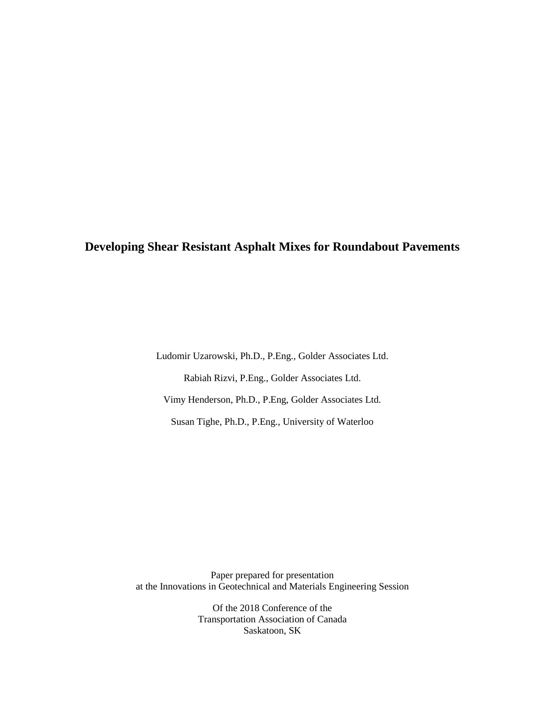# **Developing Shear Resistant Asphalt Mixes for Roundabout Pavements**

Ludomir Uzarowski, Ph.D., P.Eng., Golder Associates Ltd. Rabiah Rizvi, P.Eng., Golder Associates Ltd. Vimy Henderson, Ph.D., P.Eng, Golder Associates Ltd. Susan Tighe, Ph.D., P.Eng., University of Waterloo

Paper prepared for presentation at the Innovations in Geotechnical and Materials Engineering Session

> Of the 2018 Conference of the Transportation Association of Canada Saskatoon, SK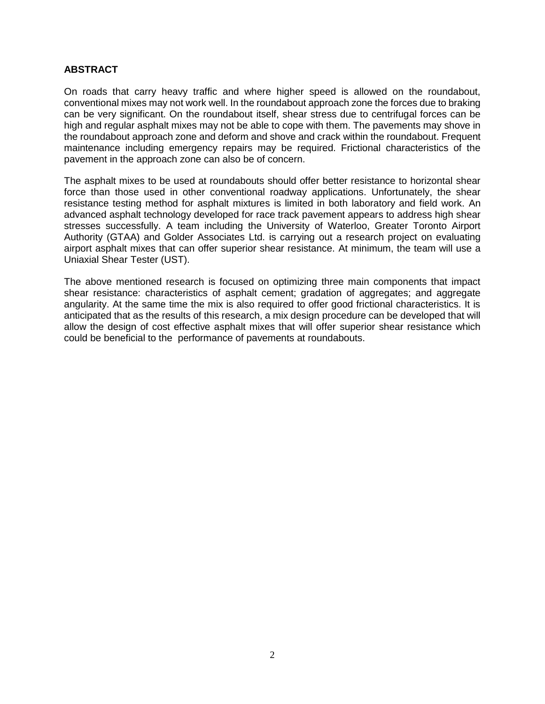#### **ABSTRACT**

On roads that carry heavy traffic and where higher speed is allowed on the roundabout, conventional mixes may not work well. In the roundabout approach zone the forces due to braking can be very significant. On the roundabout itself, shear stress due to centrifugal forces can be high and regular asphalt mixes may not be able to cope with them. The pavements may shove in the roundabout approach zone and deform and shove and crack within the roundabout. Frequent maintenance including emergency repairs may be required. Frictional characteristics of the pavement in the approach zone can also be of concern.

The asphalt mixes to be used at roundabouts should offer better resistance to horizontal shear force than those used in other conventional roadway applications. Unfortunately, the shear resistance testing method for asphalt mixtures is limited in both laboratory and field work. An advanced asphalt technology developed for race track pavement appears to address high shear stresses successfully. A team including the University of Waterloo, Greater Toronto Airport Authority (GTAA) and Golder Associates Ltd. is carrying out a research project on evaluating airport asphalt mixes that can offer superior shear resistance. At minimum, the team will use a Uniaxial Shear Tester (UST).

The above mentioned research is focused on optimizing three main components that impact shear resistance: characteristics of asphalt cement; gradation of aggregates; and aggregate angularity. At the same time the mix is also required to offer good frictional characteristics. It is anticipated that as the results of this research, a mix design procedure can be developed that will allow the design of cost effective asphalt mixes that will offer superior shear resistance which could be beneficial to the performance of pavements at roundabouts.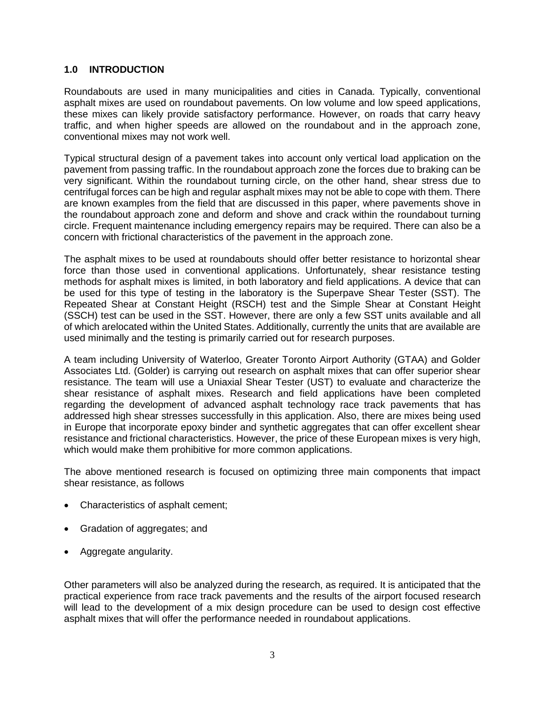#### **1.0 INTRODUCTION**

Roundabouts are used in many municipalities and cities in Canada. Typically, conventional asphalt mixes are used on roundabout pavements. On low volume and low speed applications, these mixes can likely provide satisfactory performance. However, on roads that carry heavy traffic, and when higher speeds are allowed on the roundabout and in the approach zone, conventional mixes may not work well.

Typical structural design of a pavement takes into account only vertical load application on the pavement from passing traffic. In the roundabout approach zone the forces due to braking can be very significant. Within the roundabout turning circle, on the other hand, shear stress due to centrifugal forces can be high and regular asphalt mixes may not be able to cope with them. There are known examples from the field that are discussed in this paper, where pavements shove in the roundabout approach zone and deform and shove and crack within the roundabout turning circle. Frequent maintenance including emergency repairs may be required. There can also be a concern with frictional characteristics of the pavement in the approach zone.

The asphalt mixes to be used at roundabouts should offer better resistance to horizontal shear force than those used in conventional applications. Unfortunately, shear resistance testing methods for asphalt mixes is limited, in both laboratory and field applications. A device that can be used for this type of testing in the laboratory is the Superpave Shear Tester (SST). The Repeated Shear at Constant Height (RSCH) test and the Simple Shear at Constant Height (SSCH) test can be used in the SST. However, there are only a few SST units available and all of which arelocated within the United States. Additionally, currently the units that are available are used minimally and the testing is primarily carried out for research purposes.

A team including University of Waterloo, Greater Toronto Airport Authority (GTAA) and Golder Associates Ltd. (Golder) is carrying out research on asphalt mixes that can offer superior shear resistance. The team will use a Uniaxial Shear Tester (UST) to evaluate and characterize the shear resistance of asphalt mixes. Research and field applications have been completed regarding the development of advanced asphalt technology race track pavements that has addressed high shear stresses successfully in this application. Also, there are mixes being used in Europe that incorporate epoxy binder and synthetic aggregates that can offer excellent shear resistance and frictional characteristics. However, the price of these European mixes is very high, which would make them prohibitive for more common applications.

The above mentioned research is focused on optimizing three main components that impact shear resistance, as follows

- Characteristics of asphalt cement;
- Gradation of aggregates; and
- Aggregate angularity.

Other parameters will also be analyzed during the research, as required. It is anticipated that the practical experience from race track pavements and the results of the airport focused research will lead to the development of a mix design procedure can be used to design cost effective asphalt mixes that will offer the performance needed in roundabout applications.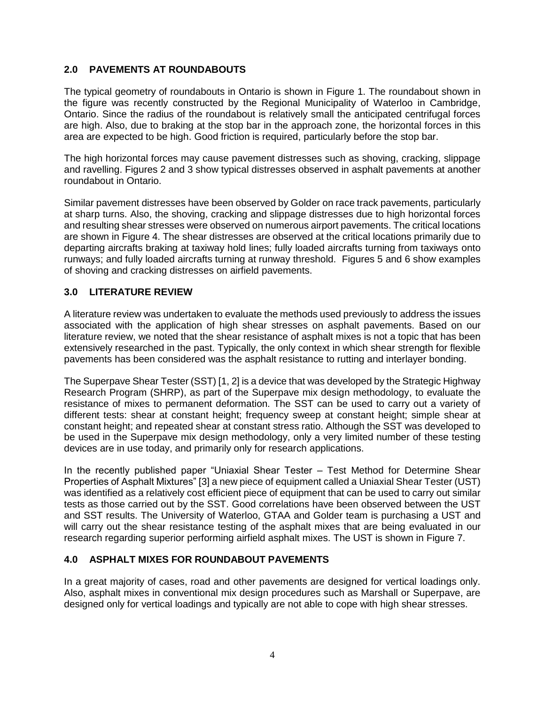# **2.0 PAVEMENTS AT ROUNDABOUTS**

The typical geometry of roundabouts in Ontario is shown in Figure 1. The roundabout shown in the figure was recently constructed by the Regional Municipality of Waterloo in Cambridge, Ontario. Since the radius of the roundabout is relatively small the anticipated centrifugal forces are high. Also, due to braking at the stop bar in the approach zone, the horizontal forces in this area are expected to be high. Good friction is required, particularly before the stop bar.

The high horizontal forces may cause pavement distresses such as shoving, cracking, slippage and ravelling. Figures 2 and 3 show typical distresses observed in asphalt pavements at another roundabout in Ontario.

Similar pavement distresses have been observed by Golder on race track pavements, particularly at sharp turns. Also, the shoving, cracking and slippage distresses due to high horizontal forces and resulting shear stresses were observed on numerous airport pavements. The critical locations are shown in Figure 4. The shear distresses are observed at the critical locations primarily due to departing aircrafts braking at taxiway hold lines; fully loaded aircrafts turning from taxiways onto runways; and fully loaded aircrafts turning at runway threshold. Figures 5 and 6 show examples of shoving and cracking distresses on airfield pavements.

# **3.0 LITERATURE REVIEW**

A literature review was undertaken to evaluate the methods used previously to address the issues associated with the application of high shear stresses on asphalt pavements. Based on our literature review, we noted that the shear resistance of asphalt mixes is not a topic that has been extensively researched in the past. Typically, the only context in which shear strength for flexible pavements has been considered was the asphalt resistance to rutting and interlayer bonding.

The Superpave Shear Tester (SST) [1, 2] is a device that was developed by the Strategic Highway Research Program (SHRP), as part of the Superpave mix design methodology, to evaluate the resistance of mixes to permanent deformation. The SST can be used to carry out a variety of different tests: shear at constant height; frequency sweep at constant height; simple shear at constant height; and repeated shear at constant stress ratio. Although the SST was developed to be used in the Superpave mix design methodology, only a very limited number of these testing devices are in use today, and primarily only for research applications.

In the recently published paper "Uniaxial Shear Tester – Test Method for Determine Shear Properties of Asphalt Mixtures" [3] a new piece of equipment called a Uniaxial Shear Tester (UST) was identified as a relatively cost efficient piece of equipment that can be used to carry out similar tests as those carried out by the SST. Good correlations have been observed between the UST and SST results. The University of Waterloo, GTAA and Golder team is purchasing a UST and will carry out the shear resistance testing of the asphalt mixes that are being evaluated in our research regarding superior performing airfield asphalt mixes. The UST is shown in Figure 7.

### **4.0 ASPHALT MIXES FOR ROUNDABOUT PAVEMENTS**

In a great majority of cases, road and other pavements are designed for vertical loadings only. Also, asphalt mixes in conventional mix design procedures such as Marshall or Superpave, are designed only for vertical loadings and typically are not able to cope with high shear stresses.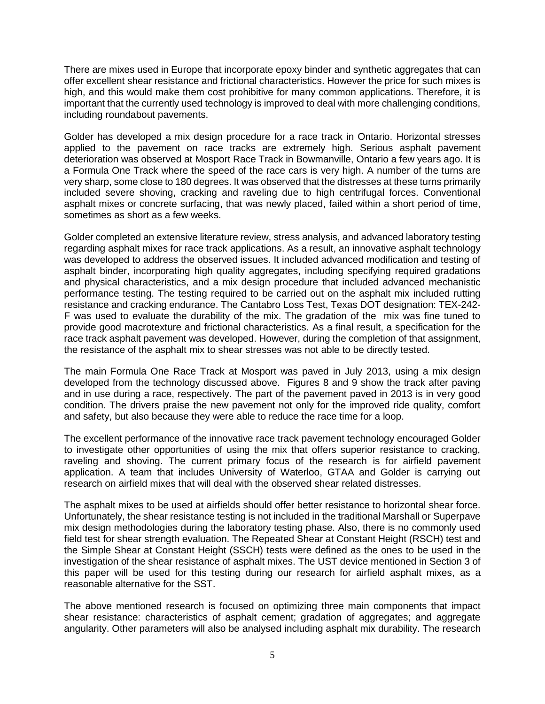There are mixes used in Europe that incorporate epoxy binder and synthetic aggregates that can offer excellent shear resistance and frictional characteristics. However the price for such mixes is high, and this would make them cost prohibitive for many common applications. Therefore, it is important that the currently used technology is improved to deal with more challenging conditions, including roundabout pavements.

Golder has developed a mix design procedure for a race track in Ontario. Horizontal stresses applied to the pavement on race tracks are extremely high. Serious asphalt pavement deterioration was observed at Mosport Race Track in Bowmanville, Ontario a few years ago. It is a Formula One Track where the speed of the race cars is very high. A number of the turns are very sharp, some close to 180 degrees. It was observed that the distresses at these turns primarily included severe shoving, cracking and raveling due to high centrifugal forces. Conventional asphalt mixes or concrete surfacing, that was newly placed, failed within a short period of time, sometimes as short as a few weeks.

Golder completed an extensive literature review, stress analysis, and advanced laboratory testing regarding asphalt mixes for race track applications. As a result, an innovative asphalt technology was developed to address the observed issues. It included advanced modification and testing of asphalt binder, incorporating high quality aggregates, including specifying required gradations and physical characteristics, and a mix design procedure that included advanced mechanistic performance testing. The testing required to be carried out on the asphalt mix included rutting resistance and cracking endurance. The Cantabro Loss Test, Texas DOT designation: TEX-242- F was used to evaluate the durability of the mix. The gradation of the mix was fine tuned to provide good macrotexture and frictional characteristics. As a final result, a specification for the race track asphalt pavement was developed. However, during the completion of that assignment, the resistance of the asphalt mix to shear stresses was not able to be directly tested.

The main Formula One Race Track at Mosport was paved in July 2013, using a mix design developed from the technology discussed above. Figures 8 and 9 show the track after paving and in use during a race, respectively. The part of the pavement paved in 2013 is in very good condition. The drivers praise the new pavement not only for the improved ride quality, comfort and safety, but also because they were able to reduce the race time for a loop.

The excellent performance of the innovative race track pavement technology encouraged Golder to investigate other opportunities of using the mix that offers superior resistance to cracking, raveling and shoving. The current primary focus of the research is for airfield pavement application. A team that includes University of Waterloo, GTAA and Golder is carrying out research on airfield mixes that will deal with the observed shear related distresses.

The asphalt mixes to be used at airfields should offer better resistance to horizontal shear force. Unfortunately, the shear resistance testing is not included in the traditional Marshall or Superpave mix design methodologies during the laboratory testing phase. Also, there is no commonly used field test for shear strength evaluation. The Repeated Shear at Constant Height (RSCH) test and the Simple Shear at Constant Height (SSCH) tests were defined as the ones to be used in the investigation of the shear resistance of asphalt mixes. The UST device mentioned in Section 3 of this paper will be used for this testing during our research for airfield asphalt mixes, as a reasonable alternative for the SST.

The above mentioned research is focused on optimizing three main components that impact shear resistance: characteristics of asphalt cement; gradation of aggregates; and aggregate angularity. Other parameters will also be analysed including asphalt mix durability. The research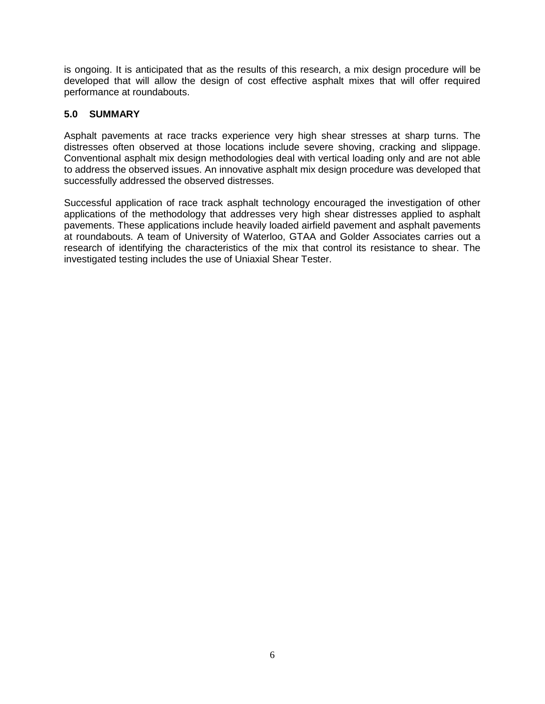is ongoing. It is anticipated that as the results of this research, a mix design procedure will be developed that will allow the design of cost effective asphalt mixes that will offer required performance at roundabouts.

# **5.0 SUMMARY**

Asphalt pavements at race tracks experience very high shear stresses at sharp turns. The distresses often observed at those locations include severe shoving, cracking and slippage. Conventional asphalt mix design methodologies deal with vertical loading only and are not able to address the observed issues. An innovative asphalt mix design procedure was developed that successfully addressed the observed distresses.

Successful application of race track asphalt technology encouraged the investigation of other applications of the methodology that addresses very high shear distresses applied to asphalt pavements. These applications include heavily loaded airfield pavement and asphalt pavements at roundabouts. A team of University of Waterloo, GTAA and Golder Associates carries out a research of identifying the characteristics of the mix that control its resistance to shear. The investigated testing includes the use of Uniaxial Shear Tester.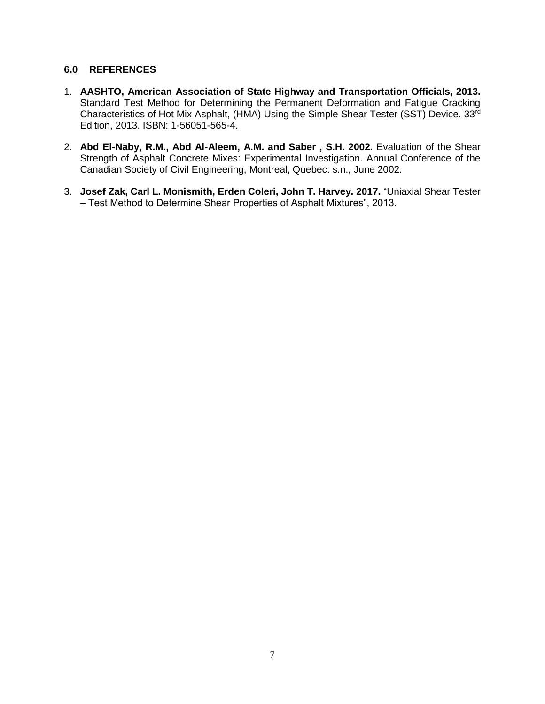#### **6.0 REFERENCES**

- 1. **AASHTO, American Association of State Highway and Transportation Officials, 2013.** Standard Test Method for Determining the Permanent Deformation and Fatigue Cracking Characteristics of Hot Mix Asphalt, (HMA) Using the Simple Shear Tester (SST) Device. 33rd Edition, 2013. ISBN: 1-56051-565-4.
- 2. **Abd El-Naby, R.M., Abd Al-Aleem, A.M. and Saber, S.H. 2002.** Evaluation of the Shear Strength of Asphalt Concrete Mixes: Experimental Investigation. Annual Conference of the Canadian Society of Civil Engineering, Montreal, Quebec: s.n., June 2002.
- 3. **Josef Zak, Carl L. Monismith, Erden Coleri, John T. Harvey. 2017.** "Uniaxial Shear Tester – Test Method to Determine Shear Properties of Asphalt Mixtures", 2013.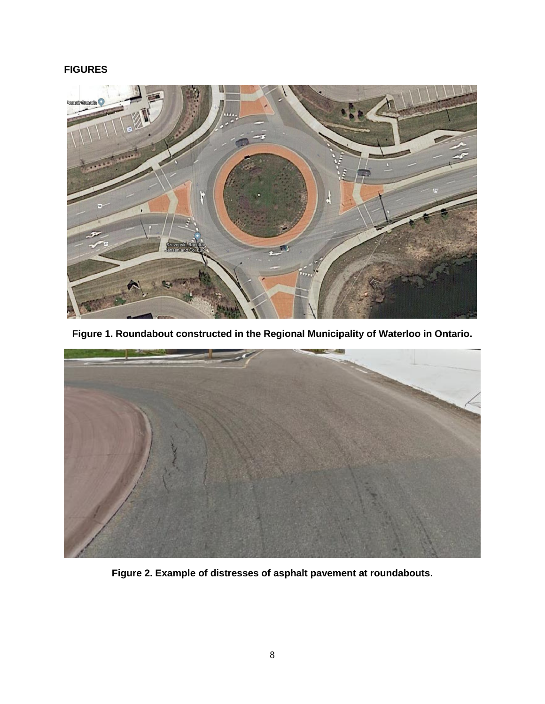# **FIGURES**



**Figure 1. Roundabout constructed in the Regional Municipality of Waterloo in Ontario.**



**Figure 2. Example of distresses of asphalt pavement at roundabouts.**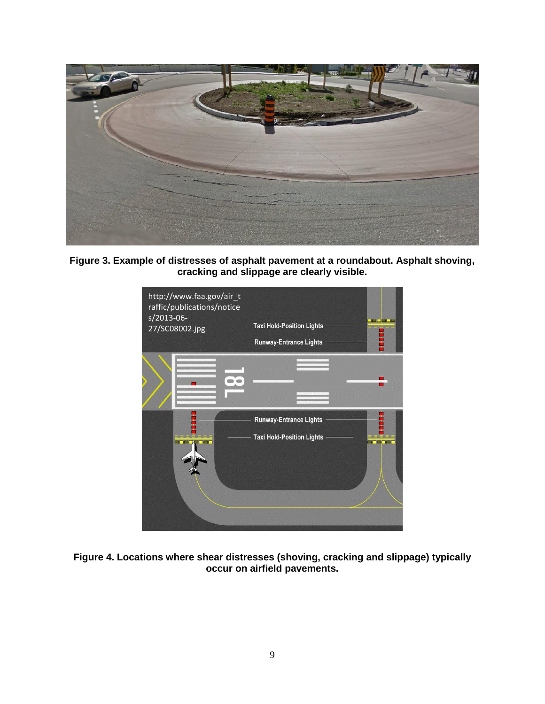

**Figure 3. Example of distresses of asphalt pavement at a roundabout. Asphalt shoving, cracking and slippage are clearly visible.**



**Figure 4. Locations where shear distresses (shoving, cracking and slippage) typically occur on airfield pavements.**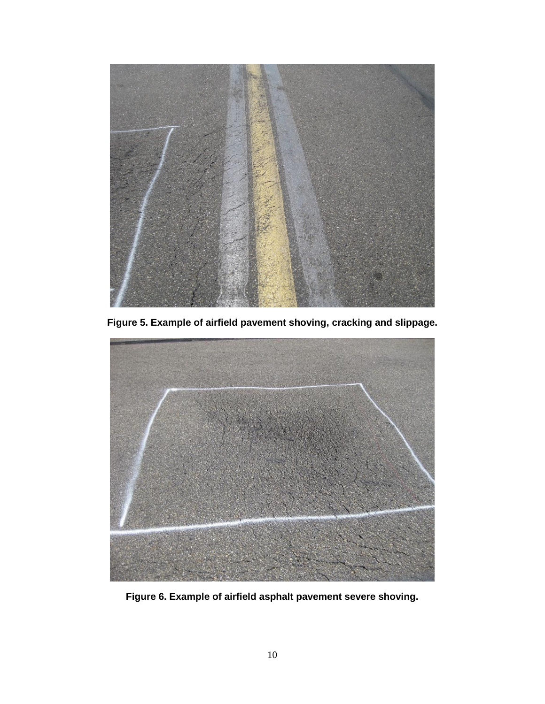

**Figure 5. Example of airfield pavement shoving, cracking and slippage.**



**Figure 6. Example of airfield asphalt pavement severe shoving.**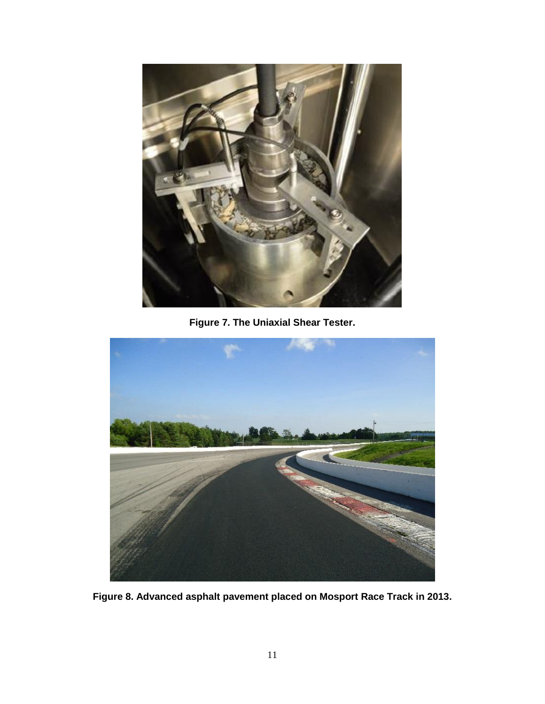

**Figure 7. The Uniaxial Shear Tester.**



**Figure 8. Advanced asphalt pavement placed on Mosport Race Track in 2013.**